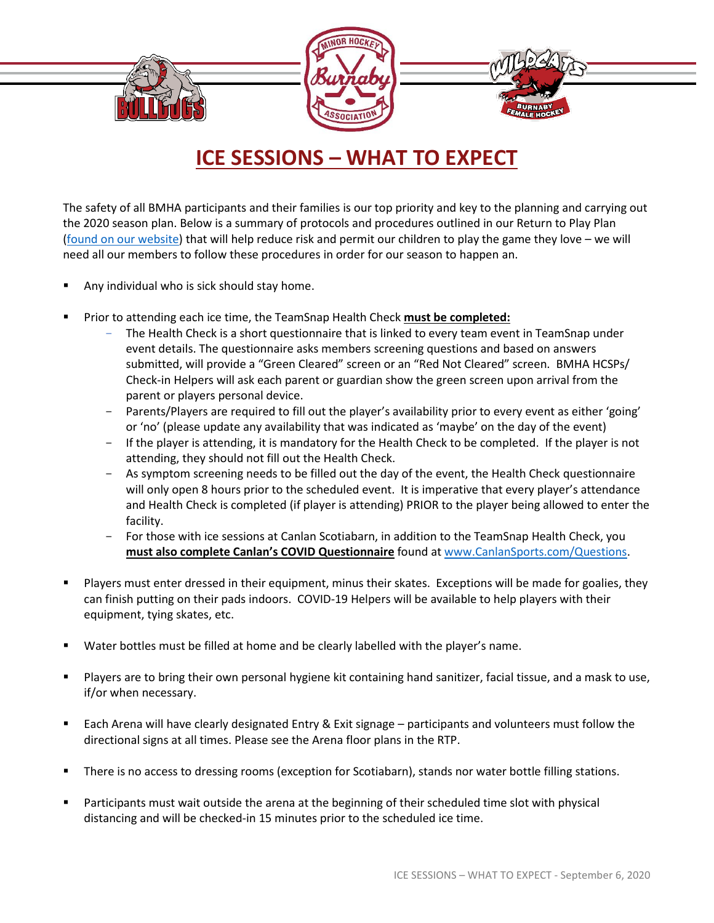## **ICE SESSIONS – WHAT TO EXPECT**

The safety of all BMHA participants and their families is our top priority and key to the planning and carrying out the 2020 season plan. Below is a summary of protocols and procedures outlined in our Return to Play Plan [\(found on our website\)](https://www.burnabyminor.com/covid-19/) that will help reduce risk and permit our children to play the game they love – we will need all our members to follow these procedures in order for our season to happen an.

- Any individual who is sick should stay home.
- Prior to attending each ice time, the TeamSnap Health Check **must be completed:** 
	- The Health Check is a short questionnaire that is linked to every team event in TeamSnap under event details. The questionnaire asks members screening questions and based on answers submitted, will provide a "Green Cleared" screen or an "Red Not Cleared" screen. BMHA HCSPs/ Check-in Helpers will ask each parent or guardian show the green screen upon arrival from the parent or players personal device.
	- Parents/Players are required to fill out the player's availability prior to every event as either 'going' or 'no' (please update any availability that was indicated as 'maybe' on the day of the event)
	- If the player is attending, it is mandatory for the Health Check to be completed. If the player is not attending, they should not fill out the Health Check.
	- As symptom screening needs to be filled out the day of the event, the Health Check questionnaire will only open 8 hours prior to the scheduled event. It is imperative that every player's attendance and Health Check is completed (if player is attending) PRIOR to the player being allowed to enter the facility.
	- For those with ice sessions at Canlan Scotiabarn, in addition to the TeamSnap Health Check, you **must also complete Canlan's COVID Questionnaire** found at [www.CanlanSports.com/Questions.](http://www.canlansports.com/Questions)
- Players must enter dressed in their equipment, minus their skates. Exceptions will be made for goalies, they can finish putting on their pads indoors. COVID-19 Helpers will be available to help players with their equipment, tying skates, etc.
- Water bottles must be filled at home and be clearly labelled with the player's name.
- Players are to bring their own personal hygiene kit containing hand sanitizer, facial tissue, and a mask to use, if/or when necessary.
- Each Arena will have clearly designated Entry & Exit signage participants and volunteers must follow the directional signs at all times. Please see the Arena floor plans in the RTP.
- There is no access to dressing rooms (exception for Scotiabarn), stands nor water bottle filling stations.
- **•** Participants must wait outside the arena at the beginning of their scheduled time slot with physical distancing and will be checked-in 15 minutes prior to the scheduled ice time.